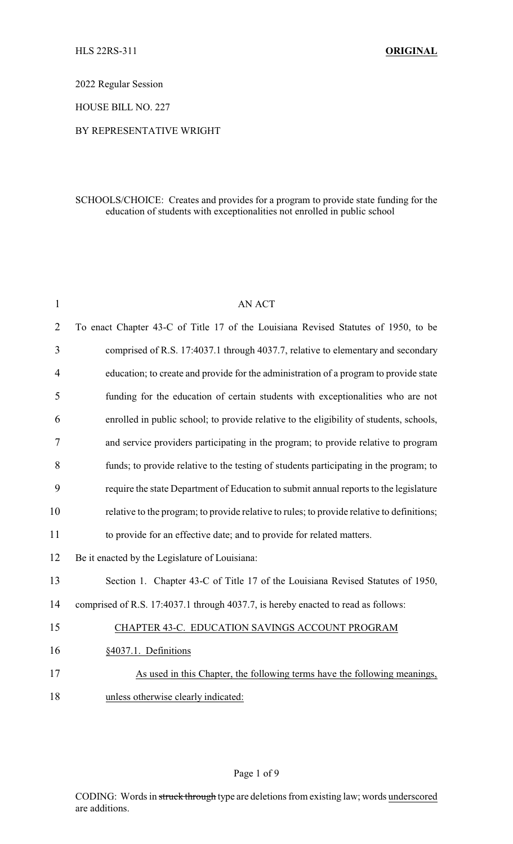2022 Regular Session

HOUSE BILL NO. 227

## BY REPRESENTATIVE WRIGHT

# SCHOOLS/CHOICE: Creates and provides for a program to provide state funding for the education of students with exceptionalities not enrolled in public school

| $\mathbf{1}$   | <b>AN ACT</b>                                                                              |  |
|----------------|--------------------------------------------------------------------------------------------|--|
| $\overline{2}$ | To enact Chapter 43-C of Title 17 of the Louisiana Revised Statutes of 1950, to be         |  |
| 3              | comprised of R.S. 17:4037.1 through 4037.7, relative to elementary and secondary           |  |
| 4              | education; to create and provide for the administration of a program to provide state      |  |
| 5              | funding for the education of certain students with exceptionalities who are not            |  |
| 6              | enrolled in public school; to provide relative to the eligibility of students, schools,    |  |
| 7              | and service providers participating in the program; to provide relative to program         |  |
| 8              | funds; to provide relative to the testing of students participating in the program; to     |  |
| 9              | require the state Department of Education to submit annual reports to the legislature      |  |
| 10             | relative to the program; to provide relative to rules; to provide relative to definitions; |  |
| 11             | to provide for an effective date; and to provide for related matters.                      |  |
| 12             | Be it enacted by the Legislature of Louisiana:                                             |  |
| 13             | Section 1. Chapter 43-C of Title 17 of the Louisiana Revised Statutes of 1950,             |  |
| 14             | comprised of R.S. 17:4037.1 through 4037.7, is hereby enacted to read as follows:          |  |
| 15             | CHAPTER 43-C. EDUCATION SAVINGS ACCOUNT PROGRAM                                            |  |
| 16             | §4037.1. Definitions                                                                       |  |
| 17             | As used in this Chapter, the following terms have the following meanings,                  |  |
| 18             | unless otherwise clearly indicated:                                                        |  |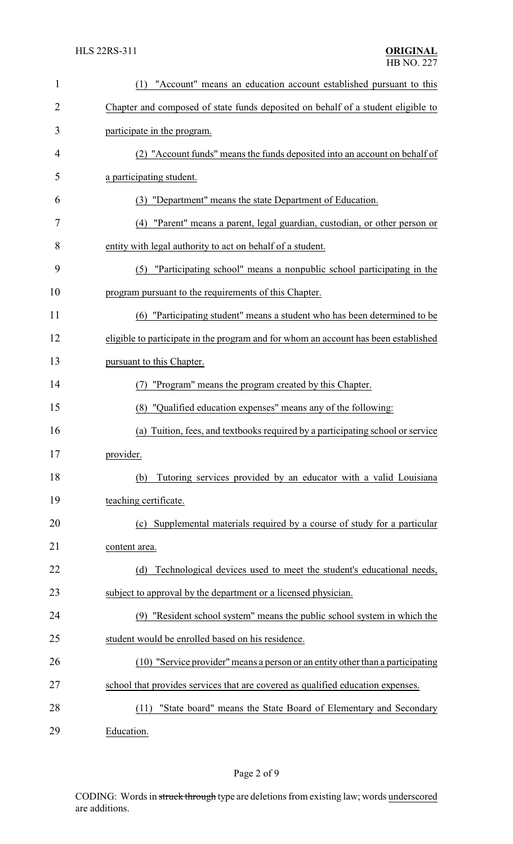| $\mathbf{1}$   | "Account" means an education account established pursuant to this<br>(1)            |  |
|----------------|-------------------------------------------------------------------------------------|--|
| $\overline{2}$ | Chapter and composed of state funds deposited on behalf of a student eligible to    |  |
| 3              | participate in the program.                                                         |  |
| 4              | (2) "Account funds" means the funds deposited into an account on behalf of          |  |
| 5              | a participating student.                                                            |  |
| 6              | (3) "Department" means the state Department of Education.                           |  |
| 7              | "Parent" means a parent, legal guardian, custodian, or other person or<br>(4)       |  |
| 8              | entity with legal authority to act on behalf of a student.                          |  |
| 9              | "Participating school" means a nonpublic school participating in the<br>(5)         |  |
| 10             | program pursuant to the requirements of this Chapter.                               |  |
| 11             | (6) "Participating student" means a student who has been determined to be           |  |
| 12             | eligible to participate in the program and for whom an account has been established |  |
| 13             | pursuant to this Chapter.                                                           |  |
| 14             | "Program" means the program created by this Chapter.<br>(7)                         |  |
| 15             | (8) "Qualified education expenses" means any of the following:                      |  |
| 16             | (a) Tuition, fees, and textbooks required by a participating school or service      |  |
| 17             | provider.                                                                           |  |
| 18             | Tutoring services provided by an educator with a valid Louisiana<br>(b)             |  |
| 19             | teaching certificate.                                                               |  |
| 20             | (c) Supplemental materials required by a course of study for a particular           |  |
| 21             | content area.                                                                       |  |
| 22             | Technological devices used to meet the student's educational needs,<br>(d)          |  |
| 23             | subject to approval by the department or a licensed physician.                      |  |
| 24             | "Resident school system" means the public school system in which the<br>(9)         |  |
| 25             | student would be enrolled based on his residence.                                   |  |
| 26             | (10) "Service provider" means a person or an entity other than a participating      |  |
| 27             | school that provides services that are covered as qualified education expenses.     |  |
| 28             | "State board" means the State Board of Elementary and Secondary<br>(11)             |  |
| 29             | Education.                                                                          |  |

Page 2 of 9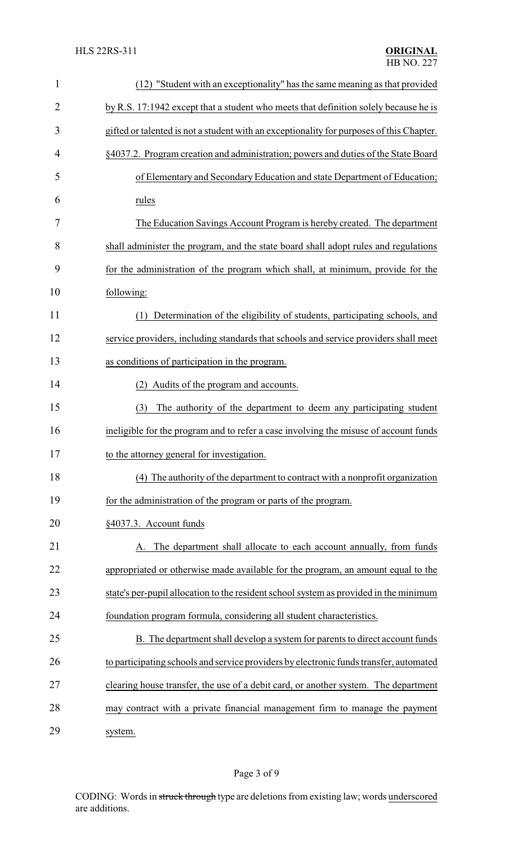| $\mathbf{1}$   | (12) "Student with an exceptionality" has the same meaning as that provided              |  |  |
|----------------|------------------------------------------------------------------------------------------|--|--|
| $\overline{2}$ | by R.S. 17:1942 except that a student who meets that definition solely because he is     |  |  |
| 3              | gifted or talented is not a student with an exceptionality for purposes of this Chapter. |  |  |
| 4              | §4037.2. Program creation and administration; powers and duties of the State Board       |  |  |
| 5              | of Elementary and Secondary Education and state Department of Education;                 |  |  |
| 6              | rules                                                                                    |  |  |
| 7              | The Education Savings Account Program is hereby created. The department                  |  |  |
| 8              | shall administer the program, and the state board shall adopt rules and regulations      |  |  |
| 9              | for the administration of the program which shall, at minimum, provide for the           |  |  |
| 10             | following:                                                                               |  |  |
| 11             | Determination of the eligibility of students, participating schools, and<br>(1)          |  |  |
| 12             | service providers, including standards that schools and service providers shall meet     |  |  |
| 13             | as conditions of participation in the program.                                           |  |  |
| 14             | (2) Audits of the program and accounts.                                                  |  |  |
| 15             | (3)<br>The authority of the department to deem any participating student                 |  |  |
| 16             | ineligible for the program and to refer a case involving the misuse of account funds     |  |  |
| 17             | to the attorney general for investigation.                                               |  |  |
| 18             | (4) The authority of the department to contract with a nonprofit organization            |  |  |
| 19             | for the administration of the program or parts of the program.                           |  |  |
| 20             | §4037.3. Account funds                                                                   |  |  |
| 21             | The department shall allocate to each account annually, from funds<br>А.                 |  |  |
| 22             | appropriated or otherwise made available for the program, an amount equal to the         |  |  |
| 23             | state's per-pupil allocation to the resident school system as provided in the minimum    |  |  |
| 24             | foundation program formula, considering all student characteristics.                     |  |  |
| 25             | B. The department shall develop a system for parents to direct account funds             |  |  |
| 26             | to participating schools and service providers by electronic funds transfer, automated   |  |  |
| 27             | clearing house transfer, the use of a debit card, or another system. The department      |  |  |
| 28             | may contract with a private financial management firm to manage the payment              |  |  |
| 29             | system.                                                                                  |  |  |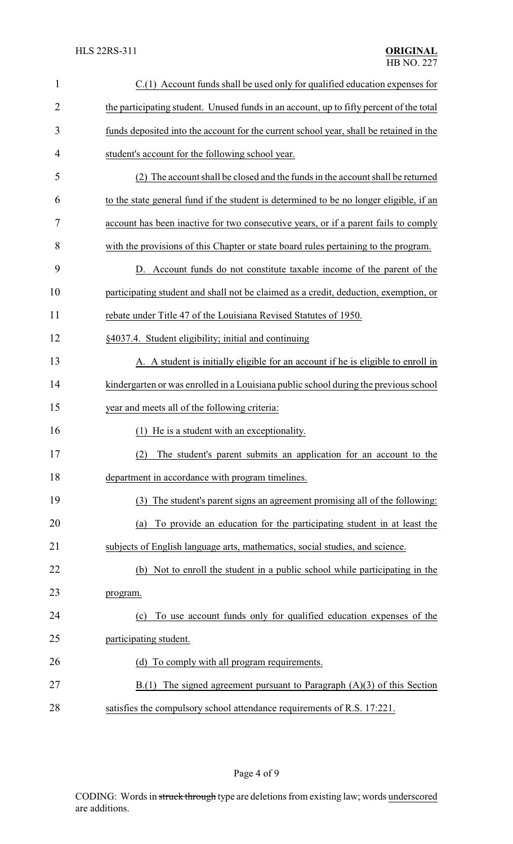| $\mathbf{1}$   | C.(1) Account funds shall be used only for qualified education expenses for             |  |  |
|----------------|-----------------------------------------------------------------------------------------|--|--|
| $\overline{2}$ | the participating student. Unused funds in an account, up to fifty percent of the total |  |  |
| 3              | funds deposited into the account for the current school year, shall be retained in the  |  |  |
| 4              | student's account for the following school year.                                        |  |  |
| 5              | (2) The account shall be closed and the funds in the account shall be returned          |  |  |
| 6              | to the state general fund if the student is determined to be no longer eligible, if an  |  |  |
| 7              | account has been inactive for two consecutive years, or if a parent fails to comply     |  |  |
| 8              | with the provisions of this Chapter or state board rules pertaining to the program.     |  |  |
| 9              | Account funds do not constitute taxable income of the parent of the<br>D.               |  |  |
| 10             | participating student and shall not be claimed as a credit, deduction, exemption, or    |  |  |
| 11             | rebate under Title 47 of the Louisiana Revised Statutes of 1950.                        |  |  |
| 12             | §4037.4. Student eligibility; initial and continuing                                    |  |  |
| 13             | A. A student is initially eligible for an account if he is eligible to enroll in        |  |  |
| 14             | kindergarten or was enrolled in a Louisiana public school during the previous school    |  |  |
| 15             | year and meets all of the following criteria:                                           |  |  |
| 16             | (1) He is a student with an exceptionality.                                             |  |  |
| 17             | (2) The student's parent submits an application for an account to the                   |  |  |
| 18             | department in accordance with program timelines.                                        |  |  |
| 19             | The student's parent signs an agreement promising all of the following:<br>(3)          |  |  |
| 20             | To provide an education for the participating student in at least the<br>(a)            |  |  |
| 21             | subjects of English language arts, mathematics, social studies, and science.            |  |  |
| 22             | (b) Not to enroll the student in a public school while participating in the             |  |  |
| 23             | program.                                                                                |  |  |
| 24             | To use account funds only for qualified education expenses of the<br>(c)                |  |  |
| 25             | participating student.                                                                  |  |  |
| 26             | (d) To comply with all program requirements.                                            |  |  |
| 27             | $B(1)$ The signed agreement pursuant to Paragraph $(A)(3)$ of this Section              |  |  |
| 28             | satisfies the compulsory school attendance requirements of R.S. 17:221.                 |  |  |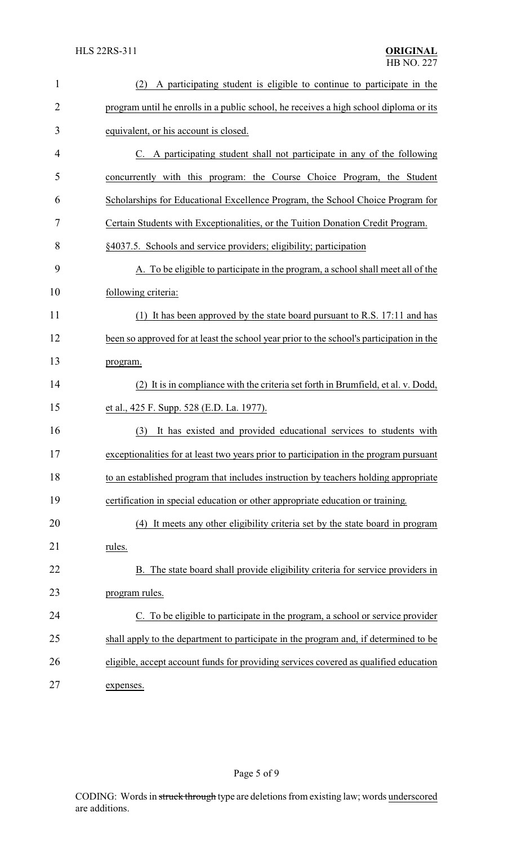| $\mathbf{1}$   | A participating student is eligible to continue to participate in the<br>(2)             |  |
|----------------|------------------------------------------------------------------------------------------|--|
| $\overline{2}$ | program until he enrolls in a public school, he receives a high school diploma or its    |  |
| 3              | equivalent, or his account is closed.                                                    |  |
| 4              | C. A participating student shall not participate in any of the following                 |  |
| 5              | concurrently with this program: the Course Choice Program, the Student                   |  |
| 6              | Scholarships for Educational Excellence Program, the School Choice Program for           |  |
| 7              | Certain Students with Exceptionalities, or the Tuition Donation Credit Program.          |  |
| 8              | §4037.5. Schools and service providers; eligibility; participation                       |  |
| 9              | A. To be eligible to participate in the program, a school shall meet all of the          |  |
| 10             | following criteria:                                                                      |  |
| 11             | (1) It has been approved by the state board pursuant to R.S. 17:11 and has               |  |
| 12             | been so approved for at least the school year prior to the school's participation in the |  |
| 13             | program.                                                                                 |  |
| 14             | (2) It is in compliance with the criteria set forth in Brumfield, et al. v. Dodd,        |  |
| 15             | et al., 425 F. Supp. 528 (E.D. La. 1977).                                                |  |
| 16             | (3)<br>It has existed and provided educational services to students with                 |  |
| 17             | exceptionalities for at least two years prior to participation in the program pursuant   |  |
| 18             | to an established program that includes instruction by teachers holding appropriate      |  |
| 19             | certification in special education or other appropriate education or training.           |  |
| 20             | (4) It meets any other eligibility criteria set by the state board in program            |  |
| 21             | rules.                                                                                   |  |
| 22             | B. The state board shall provide eligibility criteria for service providers in           |  |
| 23             | program rules.                                                                           |  |
| 24             | C. To be eligible to participate in the program, a school or service provider            |  |
| 25             | shall apply to the department to participate in the program and, if determined to be     |  |
| 26             | eligible, accept account funds for providing services covered as qualified education     |  |
| 27             | expenses.                                                                                |  |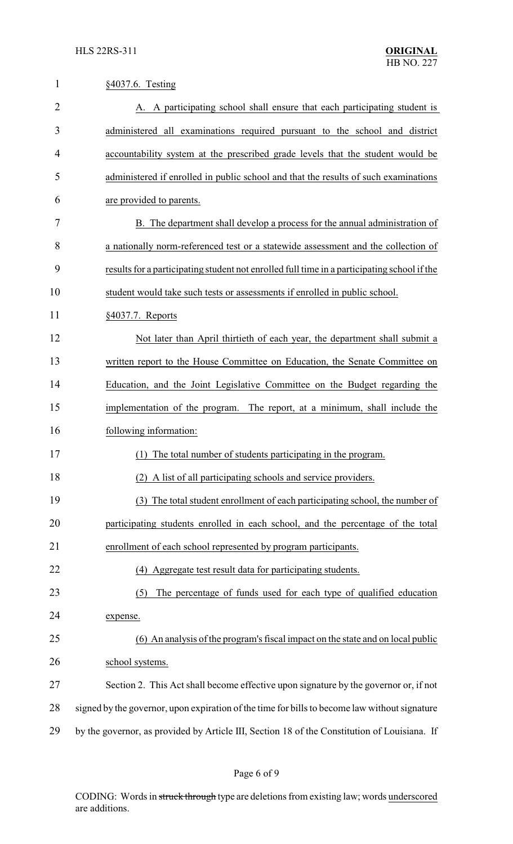| $\mathbf{1}$   | §4037.6. Testing                                                                              |  |
|----------------|-----------------------------------------------------------------------------------------------|--|
| $\overline{2}$ | A. A participating school shall ensure that each participating student is                     |  |
| 3              | administered all examinations required pursuant to the school and district                    |  |
| 4              | accountability system at the prescribed grade levels that the student would be                |  |
| 5              | administered if enrolled in public school and that the results of such examinations           |  |
| 6              | are provided to parents.                                                                      |  |
| 7              | B. The department shall develop a process for the annual administration of                    |  |
| 8              | a nationally norm-referenced test or a statewide assessment and the collection of             |  |
| 9              | results for a participating student not enrolled full time in a participating school if the   |  |
| 10             | student would take such tests or assessments if enrolled in public school.                    |  |
| 11             | $§4037.7.$ Reports                                                                            |  |
| 12             | Not later than April thirtieth of each year, the department shall submit a                    |  |
| 13             | written report to the House Committee on Education, the Senate Committee on                   |  |
| 14             | Education, and the Joint Legislative Committee on the Budget regarding the                    |  |
| 15             | implementation of the program. The report, at a minimum, shall include the                    |  |
| 16             | following information:                                                                        |  |
| 17             | (1)<br>The total number of students participating in the program.                             |  |
| 18             | (2) A list of all participating schools and service providers.                                |  |
| 19             | (3) The total student enrollment of each participating school, the number of                  |  |
| 20             | participating students enrolled in each school, and the percentage of the total               |  |
| 21             | enrollment of each school represented by program participants.                                |  |
| 22             | (4) Aggregate test result data for participating students.                                    |  |
| 23             | The percentage of funds used for each type of qualified education<br>(5)                      |  |
| 24             | expense.                                                                                      |  |
| 25             | (6) An analysis of the program's fiscal impact on the state and on local public               |  |
| 26             | school systems.                                                                               |  |
| 27             | Section 2. This Act shall become effective upon signature by the governor or, if not          |  |
| 28             | signed by the governor, upon expiration of the time for bills to become law without signature |  |
| 29             | by the governor, as provided by Article III, Section 18 of the Constitution of Louisiana. If  |  |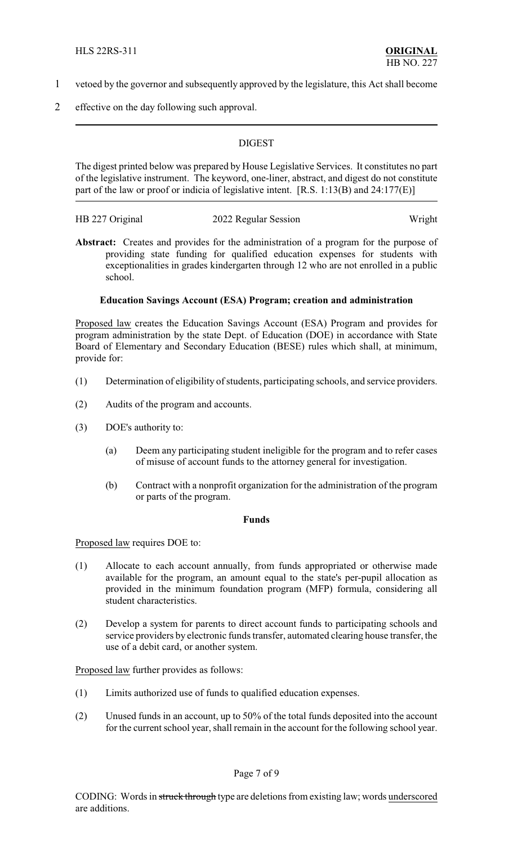- 1 vetoed by the governor and subsequently approved by the legislature, this Act shall become
- 2 effective on the day following such approval.

## **DIGEST**

The digest printed below was prepared by House Legislative Services. It constitutes no part of the legislative instrument. The keyword, one-liner, abstract, and digest do not constitute part of the law or proof or indicia of legislative intent. [R.S. 1:13(B) and 24:177(E)]

| HB 227 Original | 2022 Regular Session | Wright |
|-----------------|----------------------|--------|
|                 |                      |        |

Abstract: Creates and provides for the administration of a program for the purpose of providing state funding for qualified education expenses for students with exceptionalities in grades kindergarten through 12 who are not enrolled in a public school.

## **Education Savings Account (ESA) Program; creation and administration**

Proposed law creates the Education Savings Account (ESA) Program and provides for program administration by the state Dept. of Education (DOE) in accordance with State Board of Elementary and Secondary Education (BESE) rules which shall, at minimum, provide for:

- (1) Determination of eligibility of students, participating schools, and service providers.
- (2) Audits of the program and accounts.
- (3) DOE's authority to:
	- (a) Deem any participating student ineligible for the program and to refer cases of misuse of account funds to the attorney general for investigation.
	- (b) Contract with a nonprofit organization for the administration of the program or parts of the program.

#### **Funds**

Proposed law requires DOE to:

- (1) Allocate to each account annually, from funds appropriated or otherwise made available for the program, an amount equal to the state's per-pupil allocation as provided in the minimum foundation program (MFP) formula, considering all student characteristics.
- (2) Develop a system for parents to direct account funds to participating schools and service providers by electronic funds transfer, automated clearing house transfer, the use of a debit card, or another system.

Proposed law further provides as follows:

- (1) Limits authorized use of funds to qualified education expenses.
- (2) Unused funds in an account, up to 50% of the total funds deposited into the account for the current school year, shall remain in the account for the following school year.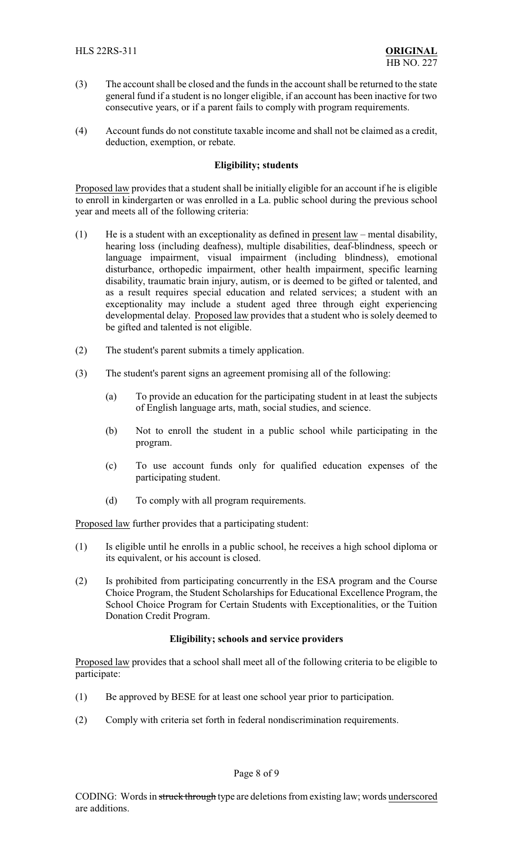- (3) The account shall be closed and the funds in the account shall be returned to the state general fund if a student is no longer eligible, if an account has been inactive for two consecutive years, or if a parent fails to comply with program requirements.
- (4) Account funds do not constitute taxable income and shall not be claimed as a credit, deduction, exemption, or rebate.

## **Eligibility; students**

Proposed law provides that a student shall be initially eligible for an account if he is eligible to enroll in kindergarten or was enrolled in a La. public school during the previous school year and meets all of the following criteria:

- (1) He is a student with an exceptionality as defined in present law mental disability, hearing loss (including deafness), multiple disabilities, deaf-blindness, speech or language impairment, visual impairment (including blindness), emotional disturbance, orthopedic impairment, other health impairment, specific learning disability, traumatic brain injury, autism, or is deemed to be gifted or talented, and as a result requires special education and related services; a student with an exceptionality may include a student aged three through eight experiencing developmental delay. Proposed law provides that a student who is solely deemed to be gifted and talented is not eligible.
- (2) The student's parent submits a timely application.
- (3) The student's parent signs an agreement promising all of the following:
	- (a) To provide an education for the participating student in at least the subjects of English language arts, math, social studies, and science.
	- (b) Not to enroll the student in a public school while participating in the program.
	- (c) To use account funds only for qualified education expenses of the participating student.
	- (d) To comply with all program requirements.

Proposed law further provides that a participating student:

- (1) Is eligible until he enrolls in a public school, he receives a high school diploma or its equivalent, or his account is closed.
- (2) Is prohibited from participating concurrently in the ESA program and the Course Choice Program, the Student Scholarships for Educational Excellence Program, the School Choice Program for Certain Students with Exceptionalities, or the Tuition Donation Credit Program.

## **Eligibility; schools and service providers**

Proposed law provides that a school shall meet all of the following criteria to be eligible to participate:

- (1) Be approved by BESE for at least one school year prior to participation.
- (2) Comply with criteria set forth in federal nondiscrimination requirements.